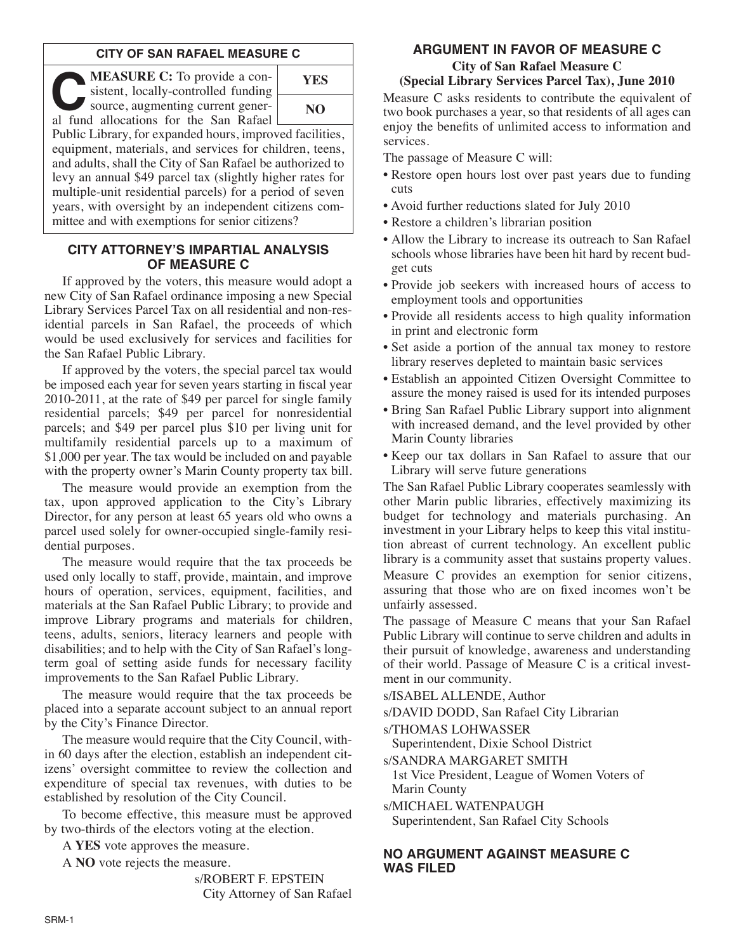# **CITY OF SAN RAFAEL MEASURE C**

**C:** To provide a consistent, locally-controlled funding<br>
source, augmenting current gener-<br>
al fund allocations for the San Bafael sistent, locally-controlled funding al fund allocations for the San Rafael



Public Library, for expanded hours, improved facilities, equipment, materials, and services for children, teens, and adults, shall the City of San Rafael be authorized to levy an annual \$49 parcel tax (slightly higher rates for multiple-unit residential parcels) for a period of seven years, with oversight by an independent citizens committee and with exemptions for senior citizens?

## **CITY ATTORNEY'S IMPARTIAL ANALYSIS OF MEASURE C**

If approved by the voters, this measure would adopt a new City of San Rafael ordinance imposing a new Special Library Services Parcel Tax on all residential and non-residential parcels in San Rafael, the proceeds of which would be used exclusively for services and facilities for the San Rafael Public Library.

If approved by the voters, the special parcel tax would be imposed each year for seven years starting in fiscal year 2010-2011, at the rate of \$49 per parcel for single family residential parcels; \$49 per parcel for nonresidential parcels; and \$49 per parcel plus \$10 per living unit for multifamily residential parcels up to a maximum of \$1,000 per year. The tax would be included on and payable with the property owner's Marin County property tax bill.

The measure would provide an exemption from the tax, upon approved application to the City's Library Director, for any person at least 65 years old who owns a parcel used solely for owner-occupied single-family residential purposes.

The measure would require that the tax proceeds be used only locally to staff, provide, maintain, and improve hours of operation, services, equipment, facilities, and materials at the San Rafael Public Library; to provide and improve Library programs and materials for children, teens, adults, seniors, literacy learners and people with disabilities; and to help with the City of San Rafael's longterm goal of setting aside funds for necessary facility improvements to the San Rafael Public Library.

The measure would require that the tax proceeds be placed into a separate account subject to an annual report by the City's Finance Director.

The measure would require that the City Council, within 60 days after the election, establish an independent citizens' oversight committee to review the collection and expenditure of special tax revenues, with duties to be established by resolution of the City Council.

To become effective, this measure must be approved by two-thirds of the electors voting at the election.

A **YES** vote approves the measure.

A **NO** vote rejects the measure.

s/ROBERT F. EPSTEIN City Attorney of San Rafael

# **ARGUMENT IN FAVOR OF MEASURE C**

#### **City of San Rafael Measure C (Special Library Services Parcel Tax), June 2010**

Measure C asks residents to contribute the equivalent of two book purchases a year, so that residents of all ages can enjoy the benefits of unlimited access to information and services.

The passage of Measure C will:

- Restore open hours lost over past years due to funding cuts
- Avoid further reductions slated for July 2010
- Restore a children's librarian position
- Allow the Library to increase its outreach to San Rafael schools whose libraries have been hit hard by recent budget cuts
- Provide job seekers with increased hours of access to employment tools and opportunities
- Provide all residents access to high quality information in print and electronic form
- Set aside a portion of the annual tax money to restore library reserves depleted to maintain basic services
- Establish an appointed Citizen Oversight Committee to assure the money raised is used for its intended purposes
- Bring San Rafael Public Library support into alignment with increased demand, and the level provided by other Marin County libraries
- Keep our tax dollars in San Rafael to assure that our Library will serve future generations

The San Rafael Public Library cooperates seamlessly with other Marin public libraries, effectively maximizing its budget for technology and materials purchasing. An investment in your Library helps to keep this vital institution abreast of current technology. An excellent public library is a community asset that sustains property values. Measure C provides an exemption for senior citizens, assuring that those who are on fixed incomes won't be unfairly assessed.

The passage of Measure C means that your San Rafael Public Library will continue to serve children and adults in their pursuit of knowledge, awareness and understanding of their world. Passage of Measure C is a critical investment in our community.

s/ISABEL ALLENDE, Author

s/DAVID DODD, San Rafael City Librarian

s/THOMAS LOHWASSER

Superintendent, Dixie School District

s/SANDRA MARGARET SMITH

1st Vice President, League of Women Voters of Marin County

s/MICHAEL WATENPAUGH

Superintendent, San Rafael City Schools

# **NO ARGUMENT AGAINST MEASURE C WAS FILED**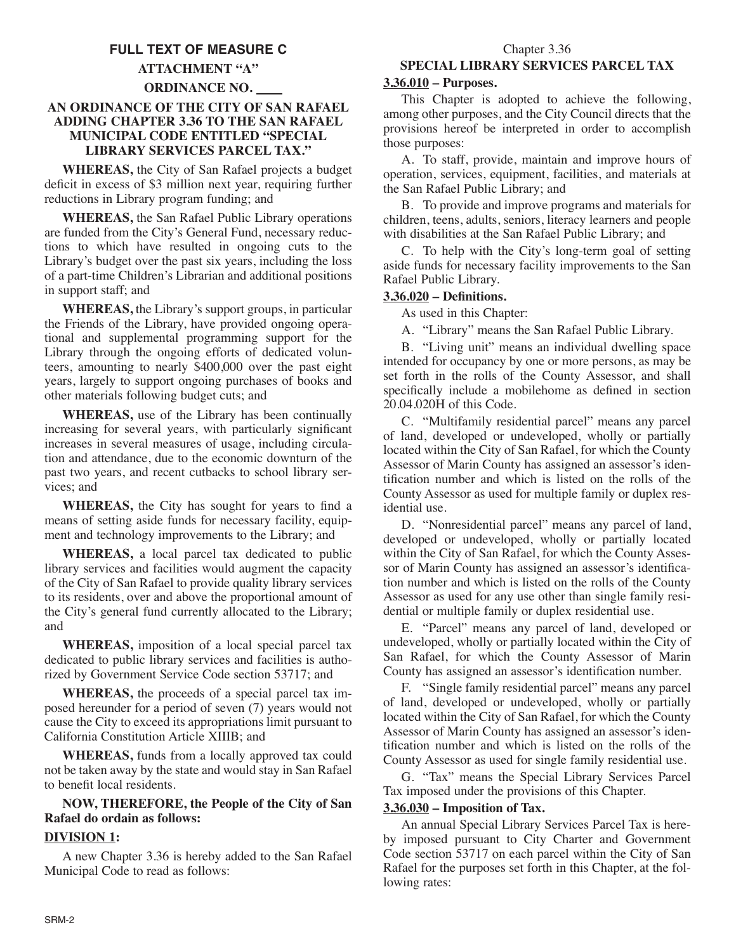# **FULL TEXT OF MEASURE C**

## **ATTACHMENT "A"**

### **ORDINANCE NO.**

## **AN ORDINANCE OF THE CITY OF SAN RAFAEL ADDING CHAPTER 3.36 TO THE SAN RAFAEL MUNICIPAL CODE ENTITLED "SPECIAL LIBRARY SERVICES PARCEL TAX."**

**WHEREAS,** the City of San Rafael projects a budget deficit in excess of \$3 million next year, requiring further reductions in Library program funding; and

**WHEREAS,** the San Rafael Public Library operations are funded from the City's General Fund, necessary reductions to which have resulted in ongoing cuts to the Library's budget over the past six years, including the loss of a part-time Children's Librarian and additional positions in support staff; and

**WHEREAS,** the Library's support groups, in particular the Friends of the Library, have provided ongoing operational and supplemental programming support for the Library through the ongoing efforts of dedicated volunteers, amounting to nearly \$400,000 over the past eight years, largely to support ongoing purchases of books and other materials following budget cuts; and

**WHEREAS,** use of the Library has been continually increasing for several years, with particularly significant increases in several measures of usage, including circulation and attendance, due to the economic downturn of the past two years, and recent cutbacks to school library services; and

**WHEREAS,** the City has sought for years to find a means of setting aside funds for necessary facility, equipment and technology improvements to the Library; and

**WHEREAS,** a local parcel tax dedicated to public library services and facilities would augment the capacity of the City of San Rafael to provide quality library services to its residents, over and above the proportional amount of the City's general fund currently allocated to the Library; and

**WHEREAS,** imposition of a local special parcel tax dedicated to public library services and facilities is authorized by Government Service Code section 53717; and

**WHEREAS,** the proceeds of a special parcel tax im posed hereunder for a period of seven (7) years would not cause the City to exceed its appropriations limit pursuant to California Constitution Article XIIIB; and

**WHEREAS,** funds from a locally approved tax could not be taken away by the state and would stay in San Rafael to benefit local residents.

## **NOW, THEREFORE, the People of the City of San Rafael do ordain as follows:**

## **DIVISION 1:**

A new Chapter 3.36 is hereby added to the San Rafael Municipal Code to read as follows:

# **SPECIAL LIBRARY SERVICES PARCEL TAX**

### **3.36.010 – Purposes.**

This Chapter is adopted to achieve the following, among other purposes, and the City Council directs that the provisions hereof be interpreted in order to accomplish those purposes:

A. To staff, provide, maintain and improve hours of operation, services, equipment, facilities, and materials at the San Rafael Public Library; and

B. To provide and improve programs and materials for children, teens, adults, seniors, literacy learners and people with disabilities at the San Rafael Public Library; and

C. To help with the City's long-term goal of setting aside funds for necessary facility improvements to the San Rafael Public Library.

## **3.36.020 – Definitions.**

As used in this Chapter:

A. "Library" means the San Rafael Public Library.

B. "Living unit" means an individual dwelling space intended for occupancy by one or more persons, as may be set forth in the rolls of the County Assessor, and shall specifically include a mobilehome as defined in section 20.04.020H of this Code.

C. "Multifamily residential parcel" means any parcel of land, developed or undeveloped, wholly or partially located within the City of San Rafael, for which the County Assessor of Marin County has assigned an assessor's identification number and which is listed on the rolls of the County Assessor as used for multiple family or duplex residential use.

D. "Nonresidential parcel" means any parcel of land, developed or undeveloped, wholly or partially located within the City of San Rafael, for which the County Assessor of Marin County has assigned an assessor's identification number and which is listed on the rolls of the County Assessor as used for any use other than single family residential or multiple family or duplex residential use.

E. "Parcel" means any parcel of land, developed or undeveloped, wholly or partially located within the City of San Rafael, for which the County Assessor of Marin County has assigned an assessor's identification number.

F. "Single family residential parcel" means any parcel of land, developed or undeveloped, wholly or partially located within the City of San Rafael, for which the County Assessor of Marin County has assigned an assessor's identification number and which is listed on the rolls of the County Assessor as used for single family residential use.

G. "Tax" means the Special Library Services Parcel Tax imposed under the provisions of this Chapter.

### **3.36.030 – Imposition of Tax.**

An annual Special Library Services Parcel Tax is hereby imposed pursuant to City Charter and Government Code section 53717 on each parcel within the City of San Rafael for the purposes set forth in this Chapter, at the following rates: